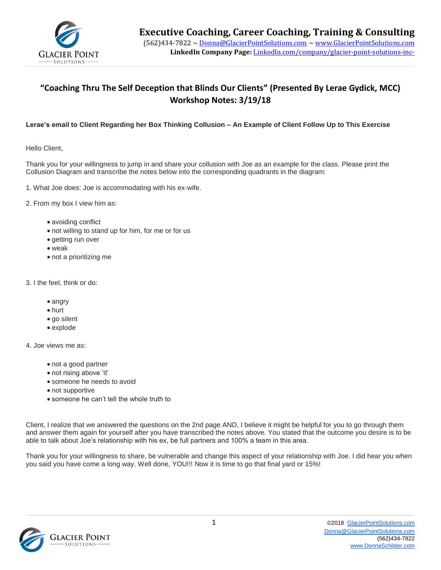

# **"Coaching Thru The Self Deception that Blinds Our Clients" (Presented By Lerae Gydick, MCC) Workshop Notes: 3/19/18**

#### **Lerae's email to Client Regarding her Box Thinking Collusion – An Example of Client Follow Up to This Exercise**

Hello Client,

Thank you for your willingness to jump in and share your collusion with Joe as an example for the class. Please print the Collusion Diagram and transcribe the notes below into the corresponding quadrants in the diagram:

1. What Joe does: Joe is accommodating with his ex-wife.

- 2. From my box I view him as:
	- avoiding conflict
	- not willing to stand up for him, for me or for us
	- getting run over
	- weak
	- not a prioritizing me
- 3. I the feel, think or do:
	- angry
	- hurt
	- go silent
	- explode

4. Joe views me as:

- not a good partner
- not rising above 'it'
- someone he needs to avoid
- not supportive
- someone he can't tell the whole truth to

Client, I realize that we answered the questions on the 2nd page AND, I believe it might be helpful for you to go through them and answer them again for yourself after you have transcribed the notes above. You stated that the outcome you desire is to be able to talk about Joe's relationship with his ex, be full partners and 100% a team in this area.

Thank you for your willingness to share, be vulnerable and change this aspect of your relationship with Joe. I did hear you when you said you have come a long way. Well done, YOU!!! Now it is time to go that final yard or 15%!

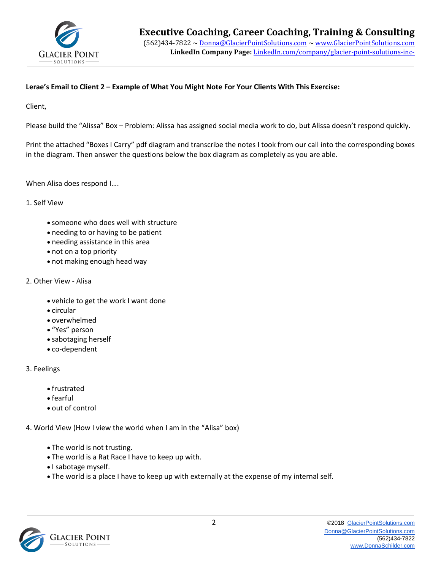

## **Lerae's Email to Client 2 – Example of What You Might Note For Your Clients With This Exercise:**

Client,

Please build the "Alissa" Box – Problem: Alissa has assigned social media work to do, but Alissa doesn't respond quickly.

Print the attached "Boxes I Carry" pdf diagram and transcribe the notes I took from our call into the corresponding boxes in the diagram. Then answer the questions below the box diagram as completely as you are able.

When Alisa does respond I….

1. Self View

- someone who does well with structure
- needing to or having to be patient
- needing assistance in this area
- not on a top priority
- not making enough head way

#### 2. Other View - Alisa

- vehicle to get the work I want done
- circular
- overwhelmed
- "Yes" person
- sabotaging herself
- co-dependent
- 3. Feelings
	- frustrated
	- fearful
	- out of control

4. World View (How I view the world when I am in the "Alisa" box)

- The world is not trusting.
- The world is a Rat Race I have to keep up with.
- I sabotage myself.
- The world is a place I have to keep up with externally at the expense of my internal self.

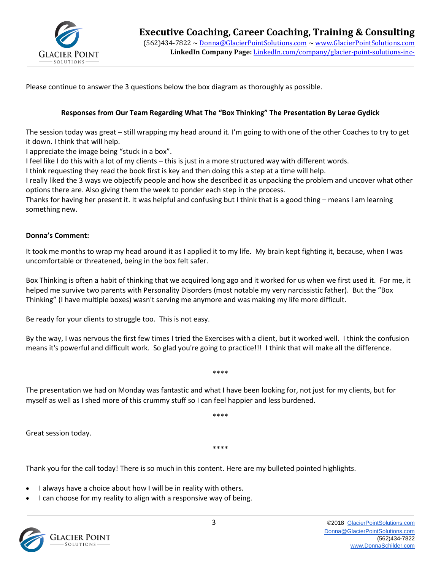

Please continue to answer the 3 questions below the box diagram as thoroughly as possible.

## **Responses from Our Team Regarding What The "Box Thinking" The Presentation By Lerae Gydick**

The session today was great – still wrapping my head around it. I'm going to with one of the other Coaches to try to get it down. I think that will help.

I appreciate the image being "stuck in a box".

I feel like I do this with a lot of my clients – this is just in a more structured way with different words.

I think requesting they read the book first is key and then doing this a step at a time will help.

I really liked the 3 ways we objectify people and how she described it as unpacking the problem and uncover what other options there are. Also giving them the week to ponder each step in the process.

Thanks for having her present it. It was helpful and confusing but I think that is a good thing – means I am learning something new.

#### **Donna's Comment:**

It took me months to wrap my head around it as I applied it to my life. My brain kept fighting it, because, when I was uncomfortable or threatened, being in the box felt safer.

Box Thinking is often a habit of thinking that we acquired long ago and it worked for us when we first used it. For me, it helped me survive two parents with Personality Disorders (most notable my very narcissistic father). But the "Box Thinking" (I have multiple boxes) wasn't serving me anymore and was making my life more difficult.

Be ready for your clients to struggle too. This is not easy.

By the way, I was nervous the first few times I tried the Exercises with a client, but it worked well. I think the confusion means it's powerful and difficult work. So glad you're going to practice!!! I think that will make all the difference.

\*\*\*\*

The presentation we had on Monday was fantastic and what I have been looking for, not just for my clients, but for myself as well as I shed more of this crummy stuff so I can feel happier and less burdened.

\*\*\*\*

\*\*\*\*

Great session today.

Thank you for the call today! There is so much in this content. Here are my bulleted pointed highlights.

- I always have a choice about how I will be in reality with others.
- I can choose for my reality to align with a responsive way of being.

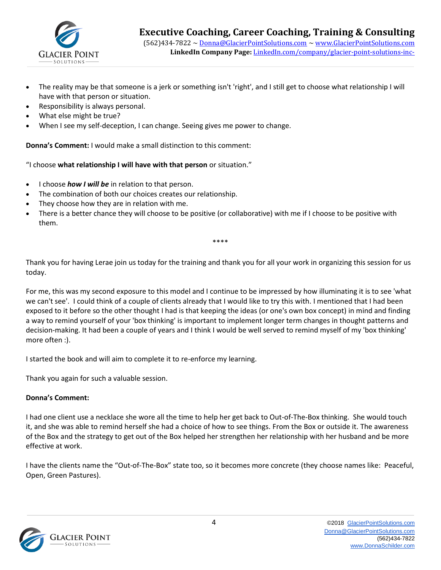

- The reality may be that someone is a jerk or something isn't 'right', and I still get to choose what relationship I will have with that person or situation.
- Responsibility is always personal.
- What else might be true?
- When I see my self-deception, I can change. Seeing gives me power to change.

**Donna's Comment:** I would make a small distinction to this comment:

"I choose **what relationship I will have with that person** or situation."

- I choose *how I will be* in relation to that person.
- The combination of both our choices creates our relationship.
- They choose how they are in relation with me.
- There is a better chance they will choose to be positive (or collaborative) with me if I choose to be positive with them.

\*\*\*\*

Thank you for having Lerae join us today for the training and thank you for all your work in organizing this session for us today.

For me, this was my second exposure to this model and I continue to be impressed by how illuminating it is to see 'what we can't see'. I could think of a couple of clients already that I would like to try this with. I mentioned that I had been exposed to it before so the other thought I had is that keeping the ideas (or one's own box concept) in mind and finding a way to remind yourself of your 'box thinking' is important to implement longer term changes in thought patterns and decision-making. It had been a couple of years and I think I would be well served to remind myself of my 'box thinking' more often :).

I started the book and will aim to complete it to re-enforce my learning.

Thank you again for such a valuable session.

# **Donna's Comment:**

I had one client use a necklace she wore all the time to help her get back to Out-of-The-Box thinking. She would touch it, and she was able to remind herself she had a choice of how to see things. From the Box or outside it. The awareness of the Box and the strategy to get out of the Box helped her strengthen her relationship with her husband and be more effective at work.

I have the clients name the "Out-of-The-Box" state too, so it becomes more concrete (they choose names like: Peaceful, Open, Green Pastures).